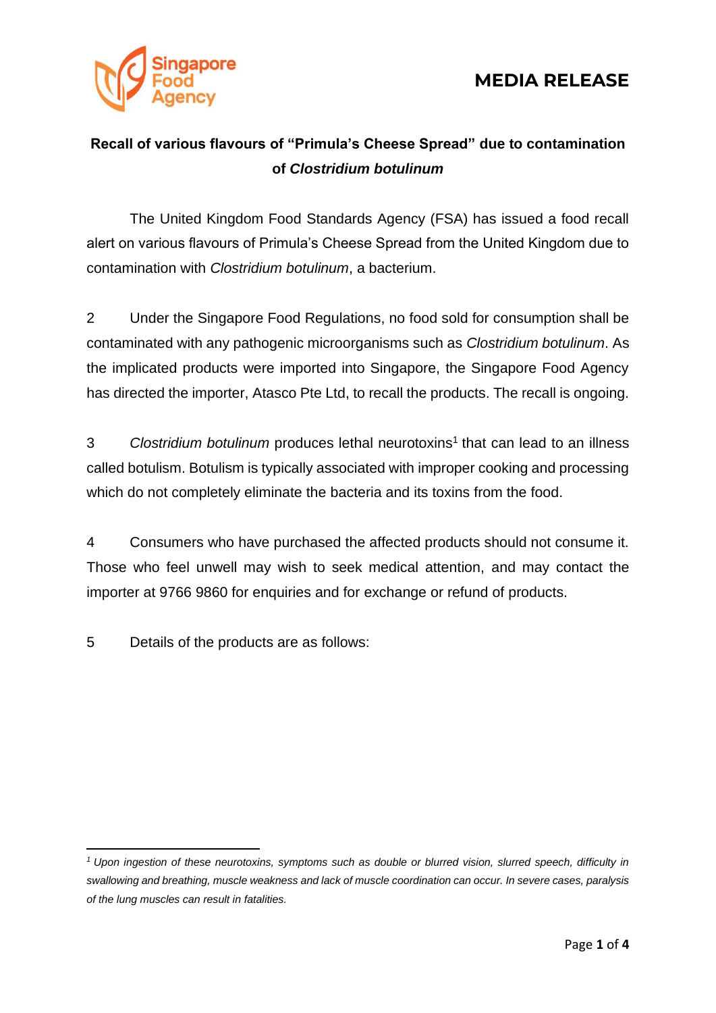



#### **Recall of various flavours of "Primula's Cheese Spread" due to contamination of** *Clostridium botulinum*

The United Kingdom Food Standards Agency (FSA) has issued a food recall alert on various flavours of Primula's Cheese Spread from the United Kingdom due to contamination with *Clostridium botulinum*, a bacterium.

2 Under the Singapore Food Regulations, no food sold for consumption shall be contaminated with any pathogenic microorganisms such as *Clostridium botulinum*. As the implicated products were imported into Singapore, the Singapore Food Agency has directed the importer, Atasco Pte Ltd, to recall the products. The recall is ongoing.

3 Clostridium botulinum produces lethal neurotoxins<sup>1</sup> that can lead to an illness called botulism. Botulism is typically associated with improper cooking and processing which do not completely eliminate the bacteria and its toxins from the food.

4 Consumers who have purchased the affected products should not consume it. Those who feel unwell may wish to seek medical attention, and may contact the importer at 9766 9860 for enquiries and for exchange or refund of products.

5 Details of the products are as follows:

*<sup>1</sup> Upon ingestion of these neurotoxins, symptoms such as double or blurred vision, slurred speech, difficulty in swallowing and breathing, muscle weakness and lack of muscle coordination can occur. In severe cases, paralysis of the lung muscles can result in fatalities.*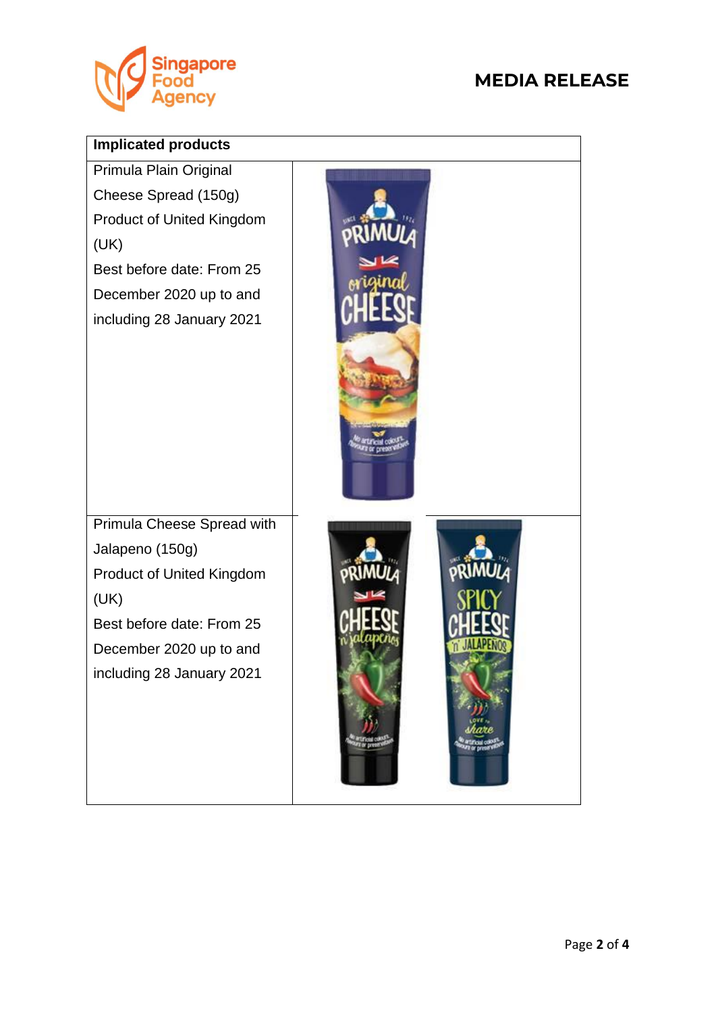

### **MEDIA RELEASE**

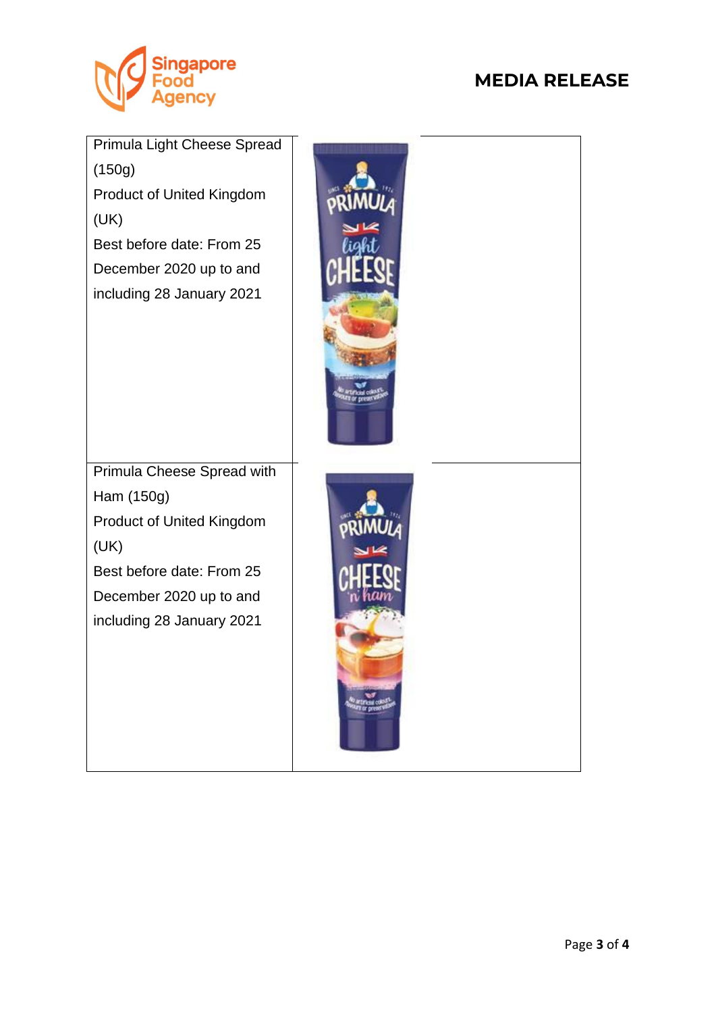

# **MEDIA RELEASE**